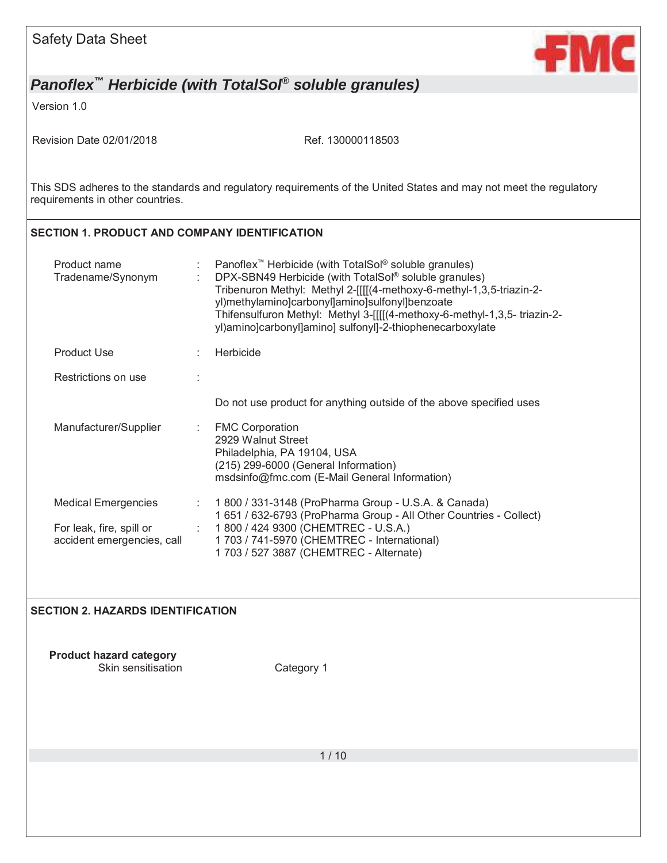| <b>Safety Data Sheet</b>                               | <b>FM</b>                                                                                                                                                                                                                                                                                                                                                                                                   |
|--------------------------------------------------------|-------------------------------------------------------------------------------------------------------------------------------------------------------------------------------------------------------------------------------------------------------------------------------------------------------------------------------------------------------------------------------------------------------------|
|                                                        | Panoflex <sup>™</sup> Herbicide (with TotalSol <sup>®</sup> soluble granules)                                                                                                                                                                                                                                                                                                                               |
| Version 1.0                                            |                                                                                                                                                                                                                                                                                                                                                                                                             |
| Revision Date 02/01/2018                               | Ref. 130000118503                                                                                                                                                                                                                                                                                                                                                                                           |
| requirements in other countries.                       | This SDS adheres to the standards and regulatory requirements of the United States and may not meet the regulatory                                                                                                                                                                                                                                                                                          |
| <b>SECTION 1. PRODUCT AND COMPANY IDENTIFICATION</b>   |                                                                                                                                                                                                                                                                                                                                                                                                             |
| Product name<br>Tradename/Synonym                      | Panoflex <sup>™</sup> Herbicide (with TotalSol <sup>®</sup> soluble granules)<br>DPX-SBN49 Herbicide (with TotalSol® soluble granules)<br>Tribenuron Methyl: Methyl 2-[[[[(4-methoxy-6-methyl-1,3,5-triazin-2-<br>yl)methylamino]carbonyl]amino]sulfonyl]benzoate<br>Thifensulfuron Methyl: Methyl 3-[[[[(4-methoxy-6-methyl-1,3,5- triazin-2-<br>yl)amino]carbonyl]amino] sulfonyl]-2-thiophenecarboxylate |
| <b>Product Use</b>                                     | Herbicide                                                                                                                                                                                                                                                                                                                                                                                                   |
| Restrictions on use                                    |                                                                                                                                                                                                                                                                                                                                                                                                             |
|                                                        | Do not use product for anything outside of the above specified uses                                                                                                                                                                                                                                                                                                                                         |
| Manufacturer/Supplier                                  | <b>FMC Corporation</b><br>÷<br>2929 Walnut Street<br>Philadelphia, PA 19104, USA<br>(215) 299-6000 (General Information)<br>msdsinfo@fmc.com (E-Mail General Information)                                                                                                                                                                                                                                   |
| <b>Medical Emergencies</b>                             | 1 800 / 331-3148 (ProPharma Group - U.S.A. & Canada)<br>1 651 / 632-6793 (ProPharma Group - All Other Countries - Collect)                                                                                                                                                                                                                                                                                  |
| For leak, fire, spill or<br>accident emergencies, call | 1800 / 424 9300 (CHEMTREC - U.S.A.)<br>1 703 / 741-5970 (CHEMTREC - International)<br>1 703 / 527 3887 (CHEMTREC - Alternate)                                                                                                                                                                                                                                                                               |
| <b>SECTION 2. HAZARDS IDENTIFICATION</b>               |                                                                                                                                                                                                                                                                                                                                                                                                             |
| <b>Product hazard category</b><br>Skin sensitisation   | Category 1                                                                                                                                                                                                                                                                                                                                                                                                  |
|                                                        |                                                                                                                                                                                                                                                                                                                                                                                                             |
|                                                        | 1/10                                                                                                                                                                                                                                                                                                                                                                                                        |
|                                                        |                                                                                                                                                                                                                                                                                                                                                                                                             |
|                                                        |                                                                                                                                                                                                                                                                                                                                                                                                             |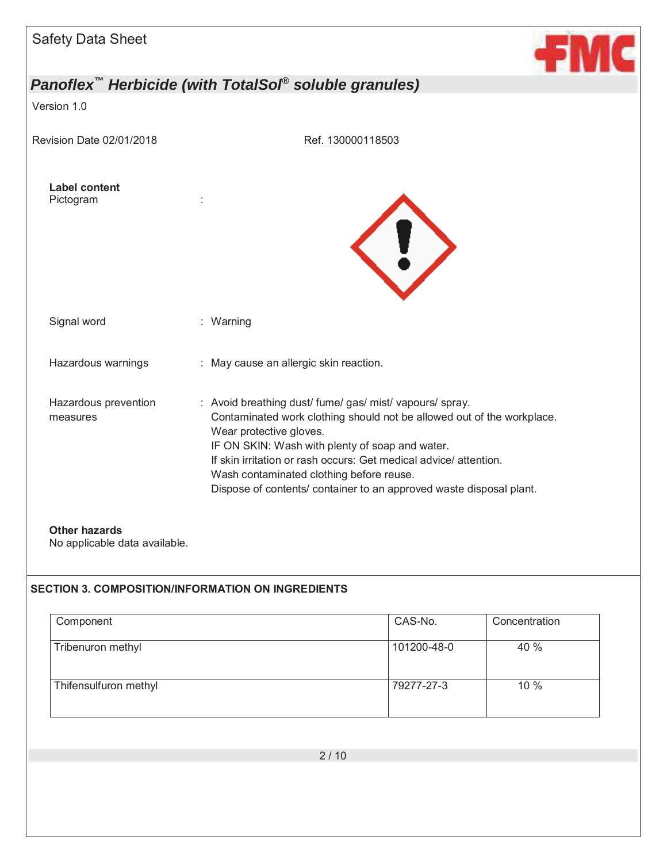| <b>Safety Data Sheet</b>                              |                                                                                                                                                                                                                                                                                                                                                                                                         |
|-------------------------------------------------------|---------------------------------------------------------------------------------------------------------------------------------------------------------------------------------------------------------------------------------------------------------------------------------------------------------------------------------------------------------------------------------------------------------|
|                                                       | Panoflex <sup>™</sup> Herbicide (with TotalSol <sup>®</sup> soluble granules)                                                                                                                                                                                                                                                                                                                           |
| Version 1.0                                           |                                                                                                                                                                                                                                                                                                                                                                                                         |
| Revision Date 02/01/2018                              | Ref. 130000118503                                                                                                                                                                                                                                                                                                                                                                                       |
| <b>Label content</b><br>Pictogram                     | U                                                                                                                                                                                                                                                                                                                                                                                                       |
| Signal word                                           | : Warning                                                                                                                                                                                                                                                                                                                                                                                               |
| Hazardous warnings                                    | : May cause an allergic skin reaction.                                                                                                                                                                                                                                                                                                                                                                  |
| Hazardous prevention<br>measures                      | : Avoid breathing dust/ fume/ gas/ mist/ vapours/ spray.<br>Contaminated work clothing should not be allowed out of the workplace.<br>Wear protective gloves.<br>IF ON SKIN: Wash with plenty of soap and water.<br>If skin irritation or rash occurs: Get medical advice/attention.<br>Wash contaminated clothing before reuse.<br>Dispose of contents/ container to an approved waste disposal plant. |
| <b>Other hazards</b><br>No applicable data available. |                                                                                                                                                                                                                                                                                                                                                                                                         |

### **SECTION 3. COMPOSITION/INFORMATION ON INGREDIENTS**

| Component             | CAS-No.     | Concentration |
|-----------------------|-------------|---------------|
| Tribenuron methyl     | 101200-48-0 | 40 %          |
| Thifensulfuron methyl | 79277-27-3  | 10%           |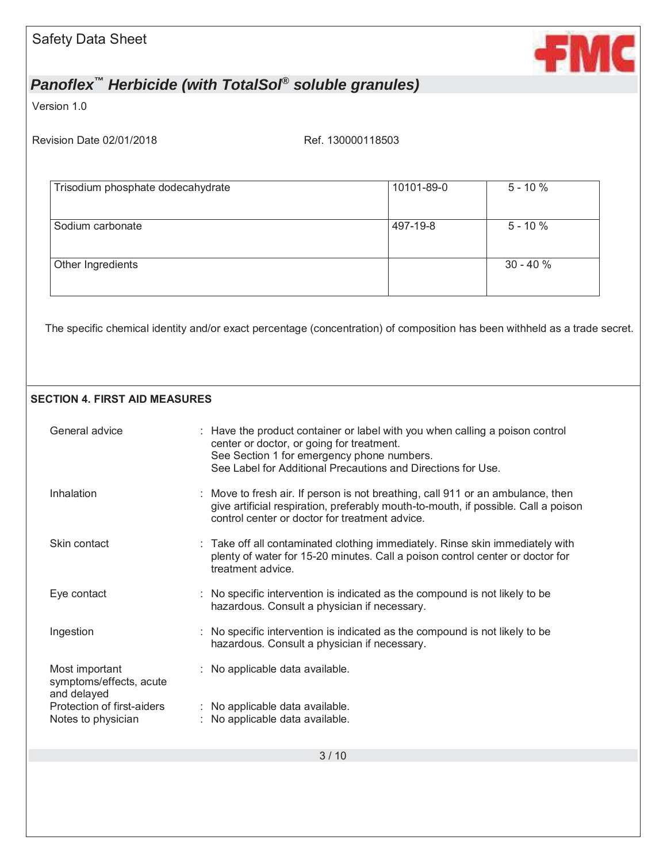

Version 1.0

Revision Date 02/01/2018 Ref. 130000118503

| Trisodium phosphate dodecahydrate | 10101-89-0 | $5 - 10%$  |
|-----------------------------------|------------|------------|
|                                   |            |            |
| Sodium carbonate                  | 497-19-8   | $5 - 10%$  |
| Other Ingredients                 |            | $30 - 40%$ |
|                                   |            |            |

The specific chemical identity and/or exact percentage (concentration) of composition has been withheld as a trade secret.

### **SECTION 4. FIRST AID MEASURES**

| General advice                                           | : Have the product container or label with you when calling a poison control<br>center or doctor, or going for treatment.<br>See Section 1 for emergency phone numbers.<br>See Label for Additional Precautions and Directions for Use. |
|----------------------------------------------------------|-----------------------------------------------------------------------------------------------------------------------------------------------------------------------------------------------------------------------------------------|
| Inhalation                                               | : Move to fresh air. If person is not breathing, call 911 or an ambulance, then<br>give artificial respiration, preferably mouth-to-mouth, if possible. Call a poison<br>control center or doctor for treatment advice.                 |
| Skin contact                                             | : Take off all contaminated clothing immediately. Rinse skin immediately with<br>plenty of water for 15-20 minutes. Call a poison control center or doctor for<br>treatment advice.                                                     |
| Eye contact                                              | : No specific intervention is indicated as the compound is not likely to be<br>hazardous. Consult a physician if necessary.                                                                                                             |
| Ingestion                                                | : No specific intervention is indicated as the compound is not likely to be<br>hazardous. Consult a physician if necessary.                                                                                                             |
| Most important<br>symptoms/effects, acute<br>and delayed | : No applicable data available.                                                                                                                                                                                                         |
| Protection of first-aiders<br>Notes to physician         | : No applicable data available.<br>: No applicable data available.                                                                                                                                                                      |
|                                                          |                                                                                                                                                                                                                                         |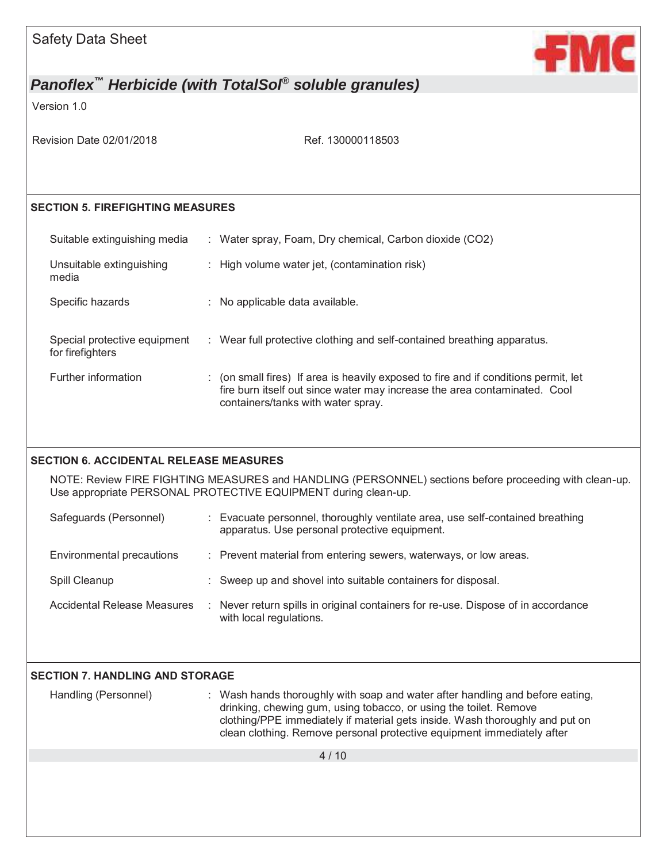| <b>Safety Data Sheet</b>                         | +M                                                                                                                                                                                                                                                                                                           |
|--------------------------------------------------|--------------------------------------------------------------------------------------------------------------------------------------------------------------------------------------------------------------------------------------------------------------------------------------------------------------|
|                                                  | Panoflex <sup>™</sup> Herbicide (with TotalSol <sup>®</sup> soluble granules)                                                                                                                                                                                                                                |
| Version 1.0                                      |                                                                                                                                                                                                                                                                                                              |
| Revision Date 02/01/2018                         | Ref. 130000118503                                                                                                                                                                                                                                                                                            |
| <b>SECTION 5. FIREFIGHTING MEASURES</b>          |                                                                                                                                                                                                                                                                                                              |
| Suitable extinguishing media                     | : Water spray, Foam, Dry chemical, Carbon dioxide (CO2)                                                                                                                                                                                                                                                      |
| Unsuitable extinguishing<br>media                | : High volume water jet, (contamination risk)                                                                                                                                                                                                                                                                |
| Specific hazards                                 | : No applicable data available.                                                                                                                                                                                                                                                                              |
| Special protective equipment<br>for firefighters | : Wear full protective clothing and self-contained breathing apparatus.                                                                                                                                                                                                                                      |
| Further information                              | : (on small fires) If area is heavily exposed to fire and if conditions permit, let<br>fire burn itself out since water may increase the area contaminated. Cool<br>containers/tanks with water spray.                                                                                                       |
| <b>SECTION 6. ACCIDENTAL RELEASE MEASURES</b>    |                                                                                                                                                                                                                                                                                                              |
|                                                  | NOTE: Review FIRE FIGHTING MEASURES and HANDLING (PERSONNEL) sections before proceeding with clean-up.<br>Use appropriate PERSONAL PROTECTIVE EQUIPMENT during clean-up.                                                                                                                                     |
| Safeguards (Personnel)                           | : Evacuate personnel, thoroughly ventilate area, use self-contained breathing<br>apparatus. Use personal protective equipment.                                                                                                                                                                               |
| Environmental precautions                        | : Prevent material from entering sewers, waterways, or low areas.                                                                                                                                                                                                                                            |
| Spill Cleanup                                    | : Sweep up and shovel into suitable containers for disposal.                                                                                                                                                                                                                                                 |
| <b>Accidental Release Measures</b>               | : Never return spills in original containers for re-use. Dispose of in accordance<br>with local regulations.                                                                                                                                                                                                 |
| <b>SECTION 7. HANDLING AND STORAGE</b>           |                                                                                                                                                                                                                                                                                                              |
| Handling (Personnel)                             | : Wash hands thoroughly with soap and water after handling and before eating,<br>drinking, chewing gum, using tobacco, or using the toilet. Remove<br>clothing/PPE immediately if material gets inside. Wash thoroughly and put on<br>clean clothing. Remove personal protective equipment immediately after |
|                                                  | 4/10                                                                                                                                                                                                                                                                                                         |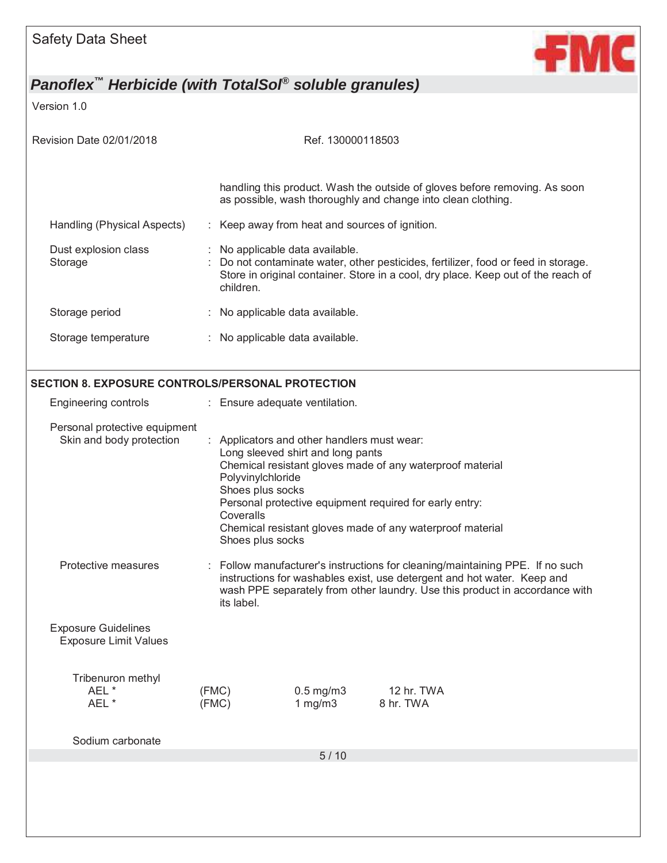

Version 1.0

| Revision Date 02/01/2018                                   | Ref. 130000118503 |                                                                             |                                                                                                                                                                                                        |                                                                                                                                                                                                                                         |  |  |  |
|------------------------------------------------------------|-------------------|-----------------------------------------------------------------------------|--------------------------------------------------------------------------------------------------------------------------------------------------------------------------------------------------------|-----------------------------------------------------------------------------------------------------------------------------------------------------------------------------------------------------------------------------------------|--|--|--|
|                                                            |                   |                                                                             |                                                                                                                                                                                                        | handling this product. Wash the outside of gloves before removing. As soon<br>as possible, wash thoroughly and change into clean clothing.                                                                                              |  |  |  |
| Handling (Physical Aspects)                                |                   |                                                                             | : Keep away from heat and sources of ignition.                                                                                                                                                         |                                                                                                                                                                                                                                         |  |  |  |
| Dust explosion class<br>Storage                            |                   | children.                                                                   | No applicable data available.<br>Do not contaminate water, other pesticides, fertilizer, food or feed in storage.<br>Store in original container. Store in a cool, dry place. Keep out of the reach of |                                                                                                                                                                                                                                         |  |  |  |
| Storage period                                             |                   | : No applicable data available.                                             |                                                                                                                                                                                                        |                                                                                                                                                                                                                                         |  |  |  |
| Storage temperature                                        |                   | : No applicable data available.                                             |                                                                                                                                                                                                        |                                                                                                                                                                                                                                         |  |  |  |
| SECTION 8. EXPOSURE CONTROLS/PERSONAL PROTECTION           |                   |                                                                             |                                                                                                                                                                                                        |                                                                                                                                                                                                                                         |  |  |  |
| Engineering controls                                       |                   | : Ensure adequate ventilation.                                              |                                                                                                                                                                                                        |                                                                                                                                                                                                                                         |  |  |  |
| Personal protective equipment<br>Skin and body protection  |                   | Polyvinylchloride<br>Shoes plus socks<br>Coveralls<br>Shoes plus socks      | : Applicators and other handlers must wear:<br>Long sleeved shirt and long pants                                                                                                                       | Chemical resistant gloves made of any waterproof material<br>Personal protective equipment required for early entry:<br>Chemical resistant gloves made of any waterproof material                                                       |  |  |  |
| Protective measures                                        |                   | its label.                                                                  |                                                                                                                                                                                                        | : Follow manufacturer's instructions for cleaning/maintaining PPE. If no such<br>instructions for washables exist, use detergent and hot water. Keep and<br>wash PPE separately from other laundry. Use this product in accordance with |  |  |  |
| <b>Exposure Guidelines</b><br><b>Exposure Limit Values</b> |                   |                                                                             |                                                                                                                                                                                                        |                                                                                                                                                                                                                                         |  |  |  |
| Tribenuron methyl<br>AEL *<br>AEL *                        |                   | (FMC)<br>$0.5$ mg/m $3$<br>12 hr. TWA<br>(FMC)<br>$1$ mg/m $3$<br>8 hr. TWA |                                                                                                                                                                                                        |                                                                                                                                                                                                                                         |  |  |  |
| Sodium carbonate                                           |                   |                                                                             | $5/10$                                                                                                                                                                                                 |                                                                                                                                                                                                                                         |  |  |  |
|                                                            |                   |                                                                             |                                                                                                                                                                                                        |                                                                                                                                                                                                                                         |  |  |  |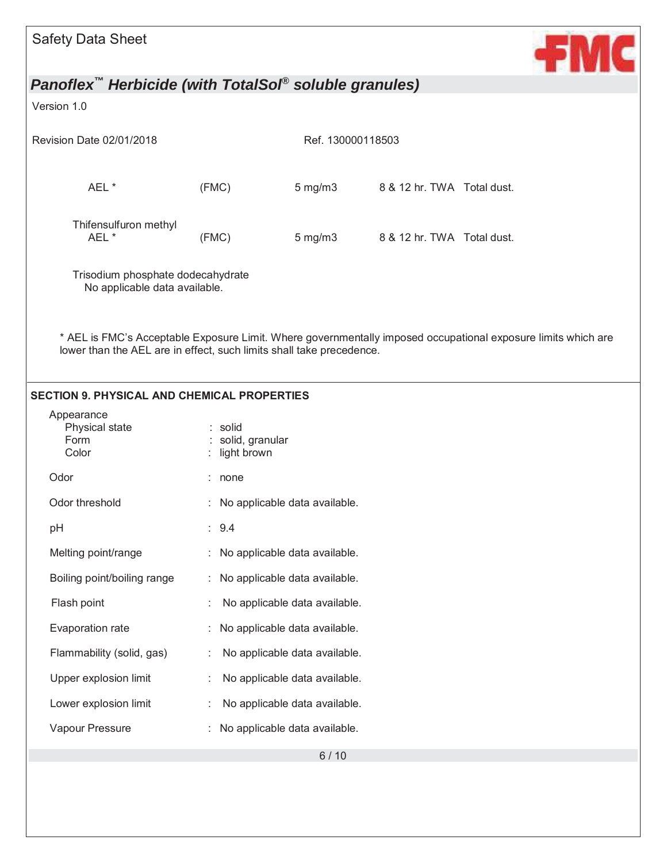| <b>Safety Data Sheet</b>                                                      |                                           |                                 |                            | C                                                                                                             |
|-------------------------------------------------------------------------------|-------------------------------------------|---------------------------------|----------------------------|---------------------------------------------------------------------------------------------------------------|
| Panoflex <sup>™</sup> Herbicide (with TotalSol <sup>®</sup> soluble granules) |                                           |                                 |                            |                                                                                                               |
| Version 1.0                                                                   |                                           |                                 |                            |                                                                                                               |
| Revision Date 02/01/2018                                                      |                                           | Ref. 130000118503               |                            |                                                                                                               |
|                                                                               |                                           |                                 |                            |                                                                                                               |
| AEL *                                                                         | (FMC)                                     | $5 \text{ mg/m}$ 3              | 8 & 12 hr. TWA Total dust. |                                                                                                               |
| Thifensulfuron methyl<br>AEL *                                                | (FMC)                                     | $5 \text{ mg/m}$                | 8 & 12 hr. TWA Total dust. |                                                                                                               |
| Trisodium phosphate dodecahydrate<br>No applicable data available.            |                                           |                                 |                            |                                                                                                               |
| lower than the AEL are in effect, such limits shall take precedence.          |                                           |                                 |                            | * AEL is FMC's Acceptable Exposure Limit. Where governmentally imposed occupational exposure limits which are |
| <b>SECTION 9. PHYSICAL AND CHEMICAL PROPERTIES</b>                            |                                           |                                 |                            |                                                                                                               |
| Appearance<br>Physical state<br>Form<br>Color                                 | : solid<br>solid, granular<br>light brown |                                 |                            |                                                                                                               |
| Odor                                                                          | : none                                    |                                 |                            |                                                                                                               |
| Odor threshold                                                                |                                           | : No applicable data available. |                            |                                                                                                               |
| pH                                                                            | : 9.4                                     |                                 |                            |                                                                                                               |
| Melting point/range                                                           |                                           | : No applicable data available. |                            |                                                                                                               |
| Boiling point/boiling range                                                   |                                           | No applicable data available.   |                            |                                                                                                               |
| Flash point                                                                   |                                           | No applicable data available.   |                            |                                                                                                               |
| Evaporation rate                                                              |                                           | No applicable data available.   |                            |                                                                                                               |
| Flammability (solid, gas)                                                     |                                           | No applicable data available.   |                            |                                                                                                               |
| Upper explosion limit                                                         |                                           | No applicable data available.   |                            |                                                                                                               |
| Lower explosion limit                                                         |                                           | No applicable data available.   |                            |                                                                                                               |
| Vapour Pressure                                                               |                                           | No applicable data available.   |                            |                                                                                                               |
|                                                                               |                                           | $6/10$                          |                            |                                                                                                               |
|                                                                               |                                           |                                 |                            |                                                                                                               |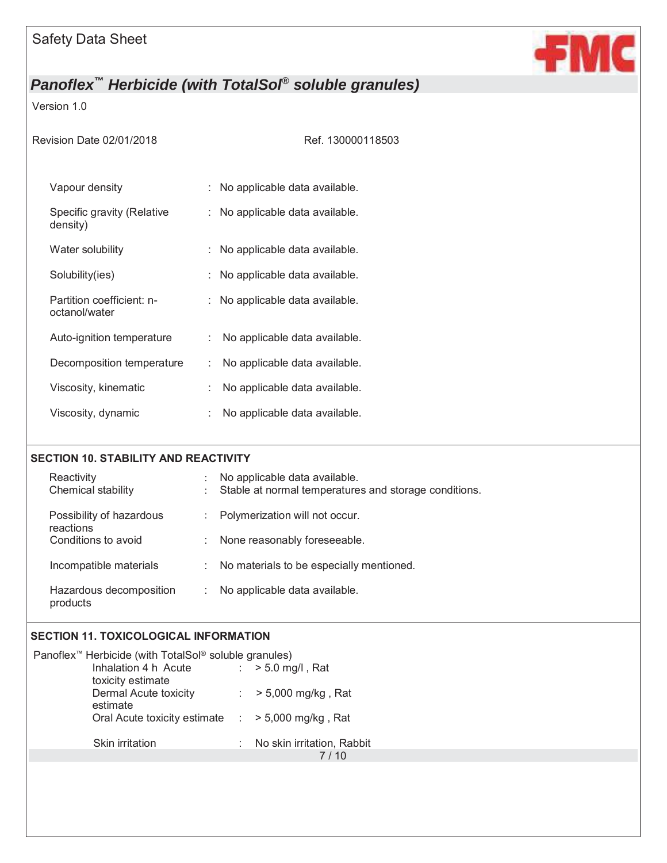

### Version 1.0

Ref. 130000118503

| Vapour density                             | : No applicable data available.     |
|--------------------------------------------|-------------------------------------|
| Specific gravity (Relative<br>density)     | : No applicable data available.     |
| Water solubility                           | : No applicable data available.     |
| Solubility(ies)                            | : No applicable data available.     |
| Partition coefficient: n-<br>octanol/water | : No applicable data available.     |
| Auto-ignition temperature                  | No applicable data available.       |
| Decomposition temperature                  | No applicable data available.<br>t. |
| Viscosity, kinematic                       | No applicable data available.       |
| Viscosity, dynamic                         | No applicable data available.       |

#### **SECTION 10. STABILITY AND REACTIVITY**

| Reactivity<br>Chemical stability      | No applicable data available.<br>Stable at normal temperatures and storage conditions. |
|---------------------------------------|----------------------------------------------------------------------------------------|
| Possibility of hazardous<br>reactions | Polymerization will not occur.<br>$\mathbb{R}^{\mathbb{Z}}$                            |
| Conditions to avoid                   | None reasonably foreseeable.                                                           |
| Incompatible materials                | No materials to be especially mentioned.                                               |
| Hazardous decomposition<br>products   | No applicable data available.                                                          |

## **SECTION 11. TOXICOLOGICAL INFORMATION**

| Panoflex <sup>™</sup> Herbicide (with TotalSol <sup>®</sup> soluble granules) |                            |
|-------------------------------------------------------------------------------|----------------------------|
| Inhalation 4 h Acute                                                          | $:$ > 5.0 mg/l, Rat        |
| toxicity estimate                                                             |                            |
| <b>Dermal Acute toxicity</b>                                                  | : $> 5,000$ mg/kg, Rat     |
| estimate                                                                      |                            |
| Oral Acute toxicity estimate $\therefore$ > 5,000 mg/kg, Rat                  |                            |
|                                                                               |                            |
| Skin irritation                                                               | No skin irritation, Rabbit |
|                                                                               |                            |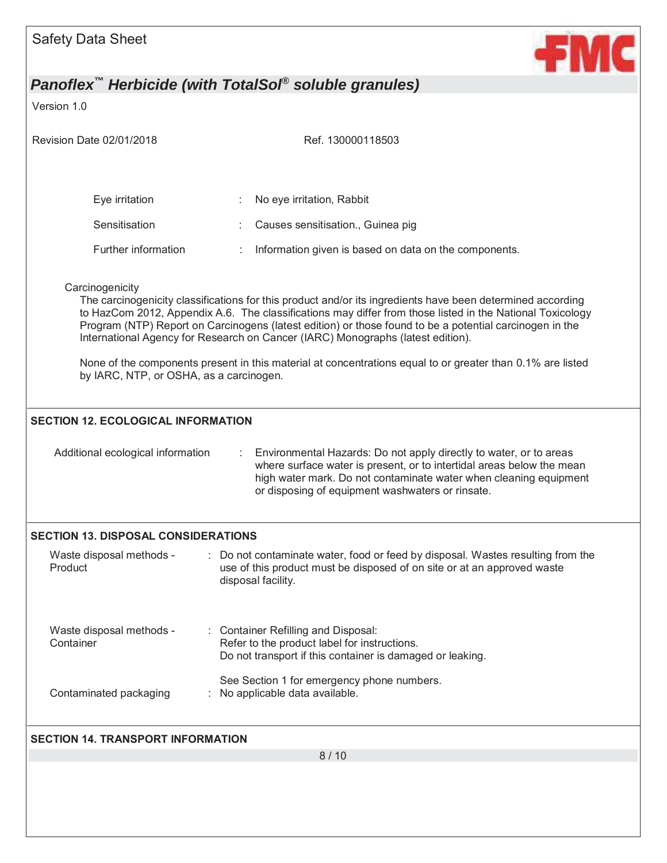|                                            | Panoflex <sup>™</sup> Herbicide (with TotalSol <sup>®</sup> soluble granules)                                                                                                                                                                                                                                                                                                                                         |
|--------------------------------------------|-----------------------------------------------------------------------------------------------------------------------------------------------------------------------------------------------------------------------------------------------------------------------------------------------------------------------------------------------------------------------------------------------------------------------|
| Version 1.0                                |                                                                                                                                                                                                                                                                                                                                                                                                                       |
| Revision Date 02/01/2018                   | Ref. 130000118503                                                                                                                                                                                                                                                                                                                                                                                                     |
| Eye irritation                             | No eye irritation, Rabbit                                                                                                                                                                                                                                                                                                                                                                                             |
| Sensitisation                              | Causes sensitisation., Guinea pig                                                                                                                                                                                                                                                                                                                                                                                     |
| Further information                        | Information given is based on data on the components.                                                                                                                                                                                                                                                                                                                                                                 |
| Carcinogenicity                            | The carcinogenicity classifications for this product and/or its ingredients have been determined according<br>to HazCom 2012, Appendix A.6. The classifications may differ from those listed in the National Toxicology<br>Program (NTP) Report on Carcinogens (latest edition) or those found to be a potential carcinogen in the<br>International Agency for Research on Cancer (IARC) Monographs (latest edition). |
| by IARC, NTP, or OSHA, as a carcinogen.    | None of the components present in this material at concentrations equal to or greater than 0.1% are listed                                                                                                                                                                                                                                                                                                            |
|                                            | where surface water is present, or to intertidal areas below the mean<br>high water mark. Do not contaminate water when cleaning equipment<br>or disposing of equipment washwaters or rinsate.                                                                                                                                                                                                                        |
| <b>SECTION 13. DISPOSAL CONSIDERATIONS</b> |                                                                                                                                                                                                                                                                                                                                                                                                                       |
| Waste disposal methods -<br>Product        | Do not contaminate water, food or feed by disposal. Wastes resulting from the<br>use of this product must be disposed of on site or at an approved waste<br>disposal facility.                                                                                                                                                                                                                                        |
| Waste disposal methods -<br>Container      | <b>Container Refilling and Disposal:</b><br>Refer to the product label for instructions.<br>Do not transport if this container is damaged or leaking.                                                                                                                                                                                                                                                                 |
| Contaminated packaging                     | See Section 1 for emergency phone numbers.<br>No applicable data available.                                                                                                                                                                                                                                                                                                                                           |
|                                            |                                                                                                                                                                                                                                                                                                                                                                                                                       |
| <b>SECTION 14. TRANSPORT INFORMATION</b>   | 8/10                                                                                                                                                                                                                                                                                                                                                                                                                  |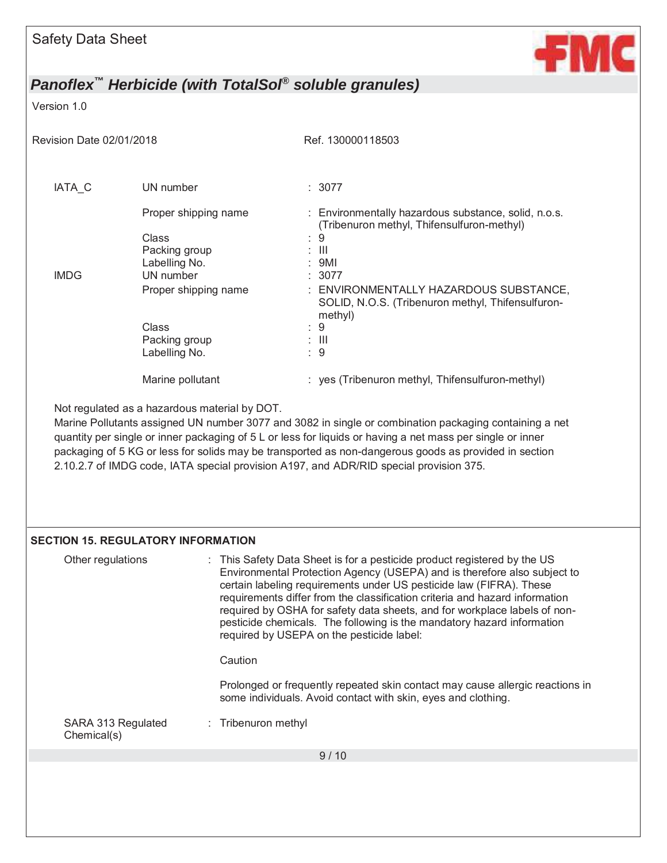

#### Version 1.0

Revision Date 02/01/2018 Ref. 130000118503

| IATA C      | UN number                                                       | : 3077                                                                                                                                   |
|-------------|-----------------------------------------------------------------|------------------------------------------------------------------------------------------------------------------------------------------|
|             | Proper shipping name<br>Class<br>Packing group<br>Labelling No. | : Environmentally hazardous substance, solid, n.o.s.<br>(Tribenuron methyl, Thifensulfuron-methyl)<br>-9<br>÷<br>$\pm$ 111<br>$\div$ 9MI |
| <b>IMDG</b> | UN number<br>Proper shipping name                               | : 3077<br>: ENVIRONMENTALLY HAZARDOUS SUBSTANCE,<br>SOLID, N.O.S. (Tribenuron methyl, Thifensulfuron-<br>methyl)                         |
|             | Class<br>Packing group<br>Labelling No.                         | $\therefore$ 9<br>: III<br>: 9                                                                                                           |
|             | Marine pollutant                                                | : yes (Tribenuron methyl, Thifensulfuron-methyl)                                                                                         |

Not regulated as a hazardous material by DOT.

Marine Pollutants assigned UN number 3077 and 3082 in single or combination packaging containing a net quantity per single or inner packaging of 5 L or less for liquids or having a net mass per single or inner packaging of 5 KG or less for solids may be transported as non-dangerous goods as provided in section 2.10.2.7 of IMDG code, IATA special provision A197, and ADR/RID special provision 375.

### **SECTION 15. REGULATORY INFORMATION**

| Other regulations                 | : This Safety Data Sheet is for a pesticide product registered by the US<br>Environmental Protection Agency (USEPA) and is therefore also subject to<br>certain labeling requirements under US pesticide law (FIFRA). These<br>requirements differ from the classification criteria and hazard information<br>required by OSHA for safety data sheets, and for workplace labels of non-<br>pesticide chemicals. The following is the mandatory hazard information<br>required by USEPA on the pesticide label: |
|-----------------------------------|----------------------------------------------------------------------------------------------------------------------------------------------------------------------------------------------------------------------------------------------------------------------------------------------------------------------------------------------------------------------------------------------------------------------------------------------------------------------------------------------------------------|
|                                   | Caution                                                                                                                                                                                                                                                                                                                                                                                                                                                                                                        |
|                                   | Prolonged or frequently repeated skin contact may cause allergic reactions in<br>some individuals. Avoid contact with skin, eyes and clothing.                                                                                                                                                                                                                                                                                                                                                                 |
| SARA 313 Regulated<br>Chemical(s) | : Tribenuron methyl                                                                                                                                                                                                                                                                                                                                                                                                                                                                                            |
|                                   | 9/10                                                                                                                                                                                                                                                                                                                                                                                                                                                                                                           |
|                                   |                                                                                                                                                                                                                                                                                                                                                                                                                                                                                                                |